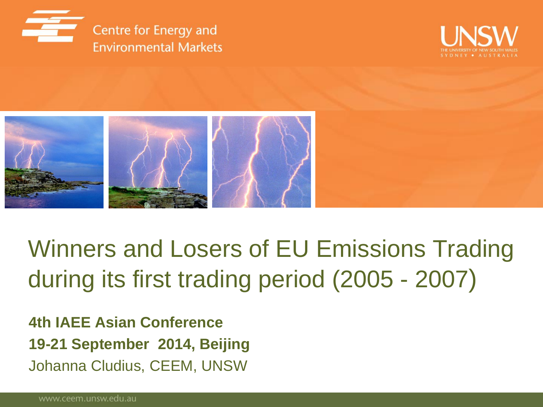





Winners and Losers of EU Emissions Trading during its first trading period (2005 - 2007)

**4th IAEE Asian Conference 19-21 September 2014, Beijing** Johanna Cludius, CEEM, UNSW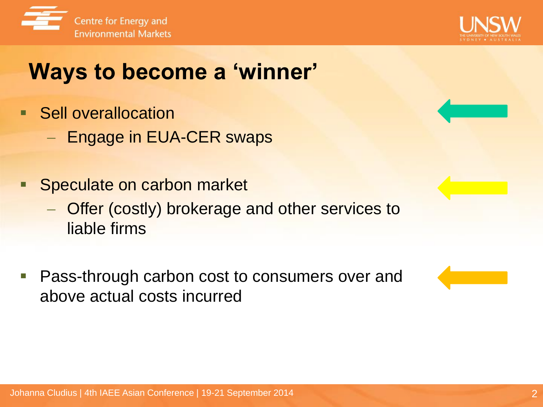



## **Ways to become a 'winner'**

- **Sell overallocation** 
	- Engage in EUA-CER swaps
- Speculate on carbon market
	- Offer (costly) brokerage and other services to liable firms
- Pass-through carbon cost to consumers over and above actual costs incurred

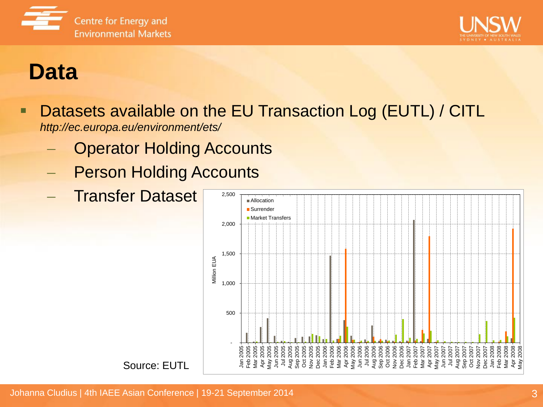



### **Data**

- Datasets available on the EU Transaction Log (EUTL) / CITL *http://ec.europa.eu/environment/ets/*
	- Operator Holding Accounts
	- Person Holding Accounts
	- Transfer Dataset

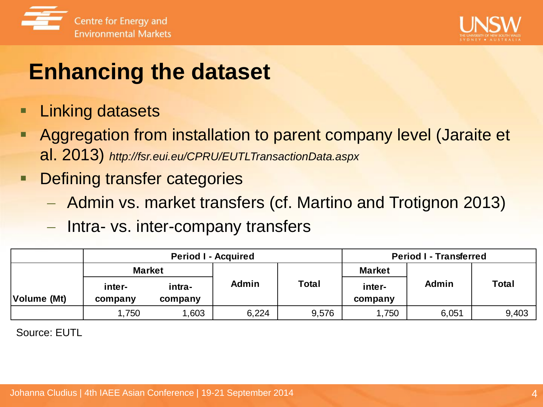



## **Enhancing the dataset**

- Linking datasets
- Aggregation from installation to parent company level (Jaraite et al. 2013) *http://fsr.eui.eu/CPRU/EUTLTransactionData.aspx*
- **Defining transfer categories** 
	- Admin vs. market transfers (cf. Martino and Trotignon 2013)
	- Intra- vs. inter-company transfers

|             |                   | <b>Period I - Acquired</b> |              | <b>Period I - Transferred</b> |                   |       |              |
|-------------|-------------------|----------------------------|--------------|-------------------------------|-------------------|-------|--------------|
|             | <b>Market</b>     |                            |              |                               | <b>Market</b>     |       | <b>Total</b> |
| Volume (Mt) | inter-<br>company | intra-<br>company          | <b>Admin</b> | <b>Total</b>                  | inter-<br>company | Admin |              |
|             | .750              | .603                       | 6,224        | 9,576                         | ,750              | 6,051 | 9,403        |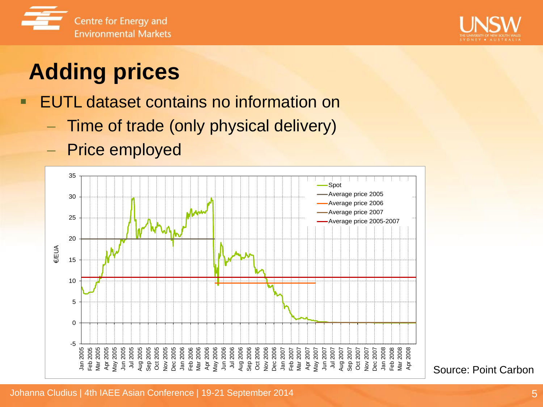



# **Adding prices**

**EUTL dataset contains no information on** 

- Time of trade (only physical delivery)
- Price employed



Source: Point Carbon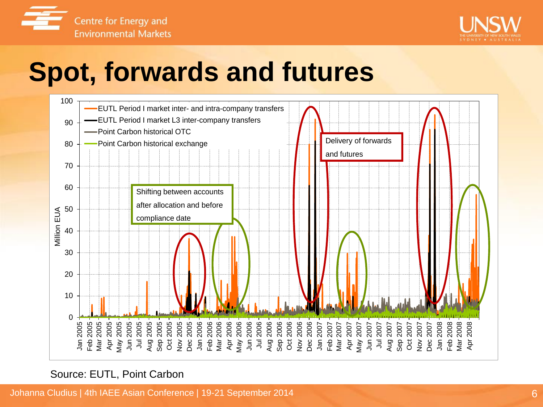



# **Spot, forwards and futures**



Source: EUTL, Point Carbon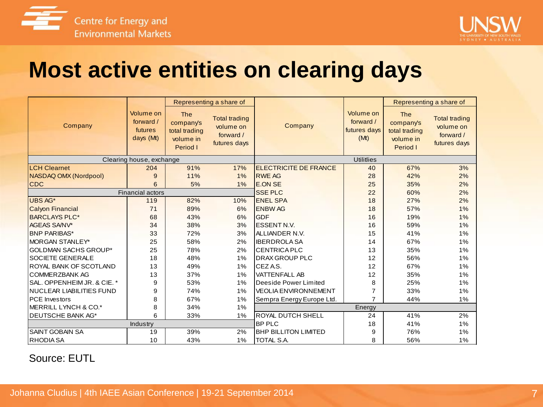



### **Most active entities on clearing days**

|                               |                                                | Representing a share of                                           |                                                                |                              |                                                | Representing a share of                                           |                                                                |  |  |
|-------------------------------|------------------------------------------------|-------------------------------------------------------------------|----------------------------------------------------------------|------------------------------|------------------------------------------------|-------------------------------------------------------------------|----------------------------------------------------------------|--|--|
| Company                       | Volume on<br>forward /<br>futures<br>days (Mt) | <b>The</b><br>company's<br>total trading<br>volume in<br>Period I | <b>Total trading</b><br>volume on<br>forward /<br>futures days | Company                      | Volume on<br>forward /<br>futures days<br>(Mt) | <b>The</b><br>company's<br>total trading<br>volume in<br>Period I | <b>Total trading</b><br>volume on<br>forward /<br>futures days |  |  |
| Clearing house, exchange      |                                                |                                                                   |                                                                | <b>Utilitlies</b>            |                                                |                                                                   |                                                                |  |  |
| <b>LCH Clearnet</b>           | 204                                            | 91%                                                               | 17%                                                            | <b>ELECTRICITE DE FRANCE</b> | 40                                             | 67%                                                               | 3%                                                             |  |  |
| NASDAQ OMX (Nordpool)         | 9                                              | 11%                                                               | 1%                                                             | <b>RWE AG</b>                | 28                                             | 42%                                                               | 2%                                                             |  |  |
| <b>CDC</b>                    | 6                                              | 5%                                                                | $1\%$                                                          | <b>E.ON SE</b>               | 25                                             | 35%                                                               | 2%                                                             |  |  |
| <b>Financial actors</b>       |                                                |                                                                   |                                                                | <b>SSE PLC</b>               | 22                                             | 60%                                                               | 2%                                                             |  |  |
| UBS AG*                       | 119                                            | 82%                                                               | 10%                                                            | <b>ENEL SPA</b>              | 18                                             | 27%                                                               | 2%                                                             |  |  |
| <b>Calyon Financial</b>       | 71                                             | 89%                                                               | 6%                                                             | <b>ENBW AG</b>               | 18                                             | 57%                                                               | 1%                                                             |  |  |
| <b>BARCLAYS PLC*</b>          | 68                                             | 43%                                                               | 6%                                                             | <b>GDF</b>                   | 16                                             | 19%                                                               | 1%                                                             |  |  |
| <b>AGEAS SA/NV*</b>           | 34                                             | 38%                                                               | 3%                                                             | <b>ESSENT N.V.</b>           | 16                                             | 59%                                                               | 1%                                                             |  |  |
| <b>BNP PARIBAS*</b>           | 33                                             | 72%                                                               | 3%                                                             | ALLIANDER N.V.               | 15                                             | 41%                                                               | 1%                                                             |  |  |
| <b>IMORGAN STANLEY*</b>       | 25                                             | 58%                                                               | 2%                                                             | <b>IBERDROLA SA</b>          | 14                                             | 67%                                                               | 1%                                                             |  |  |
| IGOLDMAN SACHS GROUP*         | 25                                             | 78%                                                               | 2%                                                             | <b>CENTRICA PLC</b>          | 13                                             | 35%                                                               | 1%                                                             |  |  |
| <b>SOCIETE GENERALE</b>       | 18                                             | 48%                                                               | 1%                                                             | <b>DRAX GROUP PLC</b>        | 12                                             | 56%                                                               | 1%                                                             |  |  |
| IROYAL BANK OF SCOTLAND       | 13                                             | 49%                                                               | 1%                                                             | CEZA.S.                      | 12                                             | 67%                                                               | 1%                                                             |  |  |
| ICOMMERZBANK AG               | 13                                             | 37%                                                               | 1%                                                             | <b>VATTENFALL AB</b>         | 12                                             | 35%                                                               | 1%                                                             |  |  |
| ISAL. OPPENHEIM JR. & CIE. *  | 9                                              | 53%                                                               | 1%                                                             | Deeside Power Limited        | 8                                              | 25%                                                               | 1%                                                             |  |  |
| INUCLEAR LIABILITIES FUND     | 9                                              | 74%                                                               | 1%                                                             | <b>VEOLIA ENVIRONNEMENT</b>  | 7                                              | 33%                                                               | 1%                                                             |  |  |
| <b>IPCE</b> Investors         | 8                                              | 67%                                                               | 1%                                                             | Sempra Energy Europe Ltd.    | $\overline{7}$                                 | 44%                                                               | 1%                                                             |  |  |
| IMERRILL LYNCH & CO.*         | 8                                              | 34%                                                               | $1\%$                                                          | Energy                       |                                                |                                                                   |                                                                |  |  |
| <b>DEUTSCHE BANK AG*</b><br>6 |                                                | 33%                                                               | 1%                                                             | IROYAL DUTCH SHELL           | 24                                             | 41%                                                               | 2%                                                             |  |  |
|                               | Industry                                       |                                                                   |                                                                | <b>BP PLC</b>                | 18                                             | 41%                                                               | 1%                                                             |  |  |
| <b>SAINT GOBAIN SA</b>        | 19                                             | 39%                                                               | 2%                                                             | <b>BHP BILLITON LIMITED</b>  | 9                                              | 76%                                                               | 1%                                                             |  |  |
| RHODIA SA                     | 10                                             | 43%                                                               | 1%                                                             | <b>TOTAL S.A.</b>            | 8                                              | 56%                                                               | 1%                                                             |  |  |
|                               |                                                |                                                                   |                                                                |                              |                                                |                                                                   |                                                                |  |  |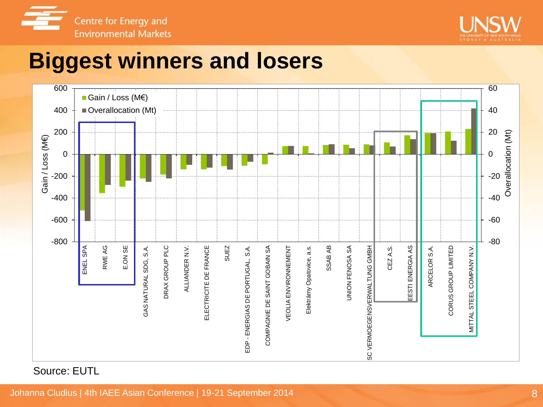



### **Biggest winners and losers**

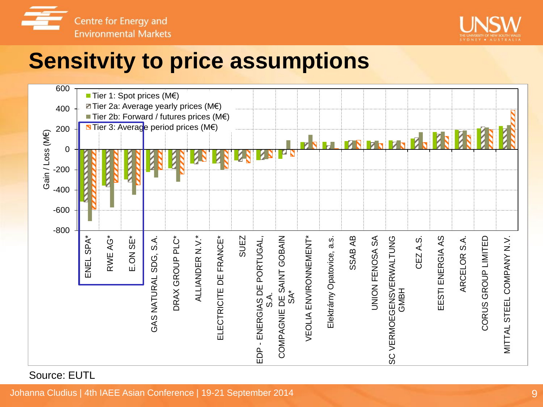



## **Sensitvity to price assumptions**

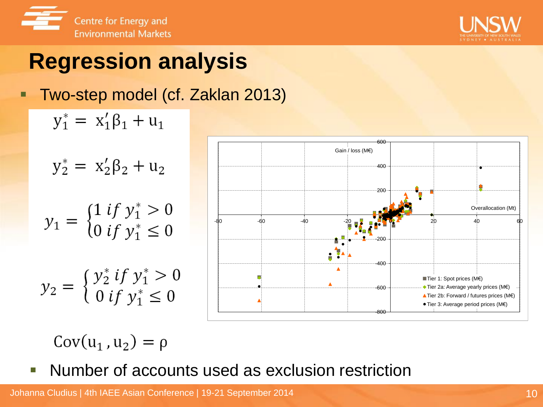



# **Regression analysis**

#### **Two-step model (cf. Zaklan 2013)**





 $Cov(u_1, u_2) = \rho$ 

**Number of accounts used as exclusion restriction**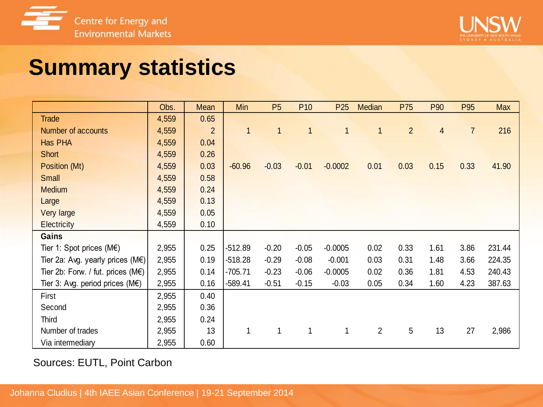



## **Summary statistics**

| <b>Summary statistics</b>                   |       |                |              |                |                 |                 |                |                |      |                |            |
|---------------------------------------------|-------|----------------|--------------|----------------|-----------------|-----------------|----------------|----------------|------|----------------|------------|
|                                             |       |                |              |                |                 |                 |                |                |      |                |            |
|                                             |       |                |              |                |                 |                 |                |                |      |                |            |
|                                             | Obs.  | Mean           | Min          | P <sub>5</sub> | P <sub>10</sub> | P <sub>25</sub> | <b>Median</b>  | P75            | P90  | P95            | <b>Max</b> |
| <b>Trade</b>                                | 4,559 | 0.65           |              |                |                 |                 |                |                |      |                |            |
| <b>Number of accounts</b>                   | 4,559 | $\overline{2}$ | $\mathbf{1}$ | $\mathbf{1}$   | $\overline{1}$  | $\mathbf{1}$    | $\mathbf{1}$   | $\overline{2}$ | 4    | $\overline{7}$ | 216        |
| <b>Has PHA</b>                              | 4,559 | 0.04           |              |                |                 |                 |                |                |      |                |            |
| Short                                       | 4,559 | 0.26           |              |                |                 |                 |                |                |      |                |            |
| Position (Mt)                               | 4,559 | 0.03           | $-60.96$     | $-0.03$        | $-0.01$         | $-0.0002$       | 0.01           | 0.03           | 0.15 | 0.33           | 41.90      |
| <b>Small</b>                                | 4,559 | 0.58           |              |                |                 |                 |                |                |      |                |            |
| <b>Medium</b>                               | 4,559 | 0.24           |              |                |                 |                 |                |                |      |                |            |
| Large                                       | 4,559 | 0.13           |              |                |                 |                 |                |                |      |                |            |
| Very large                                  | 4,559 | 0.05           |              |                |                 |                 |                |                |      |                |            |
| <b>Electricity</b>                          | 4,559 | 0.10           |              |                |                 |                 |                |                |      |                |            |
| Gains                                       |       |                |              |                |                 |                 |                |                |      |                |            |
| Tier 1: Spot prices ( $M \in$ )             | 2,955 | 0.25           | $-512.89$    | $-0.20$        | $-0.05$         | $-0.0005$       | 0.02           | 0.33           | 1.61 | 3.86           | 231.44     |
| Tier 2a: Avg. yearly prices (M€)            | 2,955 | 0.19           | $-518.28$    | $-0.29$        | $-0.08$         | $-0.001$        | 0.03           | 0.31           | 1.48 | 3.66           | 224.35     |
| Tier 2b: Forw. / fut. prices $(M \epsilon)$ | 2,955 | 0.14           | $-705.71$    | $-0.23$        | $-0.06$         | $-0.0005$       | 0.02           | 0.36           | 1.81 | 4.53           | 240.43     |
| Tier 3: Avg. period prices $(M \epsilon)$   | 2,955 | 0.16           | $-589.41$    | $-0.51$        | $-0.15$         | $-0.03$         | 0.05           | 0.34           | 1.60 | 4.23           | 387.63     |
| First                                       | 2,955 | 0.40           |              |                |                 |                 |                |                |      |                |            |
| Second                                      | 2,955 | 0.36           |              |                |                 |                 |                |                |      |                |            |
| Third                                       | 2,955 | 0.24           |              |                |                 |                 |                |                |      |                |            |
| Number of trades                            | 2,955 | 13             | $\mathbf 1$  | $\mathbf{1}$   | $\mathbf{1}$    | $\mathbf{1}$    | $\overline{2}$ | 5              | 13   | 27             | 2,986      |
| Via intermediary                            | 2,955 | 0.60           |              |                |                 |                 |                |                |      |                |            |

Sources: EUTL, Point Carbon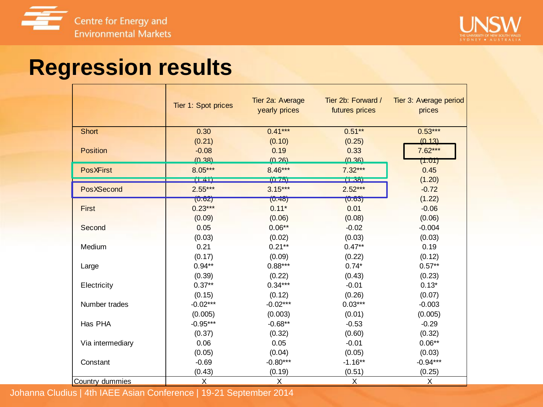



### **Regression results**

|                  | Tier 1: Spot prices | Tier 2a: Average<br>yearly prices | Tier 2b: Forward /<br>futures prices | Tier 3: Average period<br>prices |
|------------------|---------------------|-----------------------------------|--------------------------------------|----------------------------------|
| <b>Short</b>     | 0.30                | $0.41***$                         | $0.51**$                             | $0.53***$                        |
|                  | (0.21)              | (0.10)                            | (0.25)                               | (0, 13)                          |
| Position         | $-0.08$             | 0.19                              | 0.33                                 | $7.62***$                        |
|                  | (0.38)              | (0, 26)                           | (0.36)                               | (1.01)                           |
| <b>PosXFirst</b> | $8.05***$           | $8.46***$                         | $7.32***$                            | 0.45                             |
|                  | (141)               | 10 751                            | TL381                                | (1.20)                           |
| PosXSecond       | $2.55***$           | $3.15***$                         | $2.52***$                            | $-0.72$                          |
|                  | (U.02)              | (0.48)                            | (0.63)                               | (1.22)                           |
| <b>First</b>     | $0.23***$           | $0.11*$                           | 0.01                                 | $-0.06$                          |
|                  | (0.09)              | (0.06)                            | (0.08)                               | (0.06)                           |
| Second           | 0.05                | $0.06**$                          | $-0.02$                              | $-0.004$                         |
|                  | (0.03)              | (0.02)                            | (0.03)                               | (0.03)                           |
| Medium           | 0.21                | $0.21***$                         | $0.47**$                             | 0.19                             |
|                  | (0.17)              | (0.09)                            | (0.22)                               | (0.12)                           |
| Large            | $0.94**$            | $0.88***$                         | $0.74*$                              | $0.57**$                         |
|                  | (0.39)              | (0.22)                            | (0.43)                               | (0.23)                           |
| Electricity      | $0.37**$            | $0.34***$                         | $-0.01$                              | $0.13*$                          |
|                  | (0.15)              | (0.12)                            | (0.26)                               | (0.07)                           |
| Number trades    | $-0.02***$          | $-0.02***$                        | $0.03***$                            | $-0.003$                         |
|                  | (0.005)             | (0.003)                           | (0.01)                               | (0.005)                          |
| Has PHA          | $-0.95***$          | $-0.68**$                         | $-0.53$                              | $-0.29$                          |
|                  | (0.37)              | (0.32)                            | (0.60)                               | (0.32)                           |
| Via intermediary | 0.06                | 0.05                              | $-0.01$                              | $0.06**$                         |
|                  | (0.05)              | (0.04)                            | (0.05)                               | (0.03)                           |
| Constant         | $-0.69$             | $-0.80***$                        | $-1.16**$                            | $-0.94***$                       |
|                  | (0.43)              | (0.19)                            | (0.51)                               | (0.25)                           |
| Country dummies  | $\overline{X}$      | X                                 | $\overline{X}$                       | X                                |

Johanna Cludius | 4th IAEE Asian Conference | 19-21 September 2014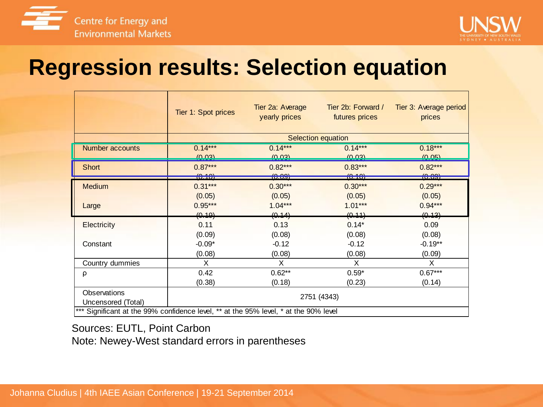



#### **Regression results: Selection equation**

|                                                                                                                                           | Tier 1: Spot prices | Tier 2a: Average<br>yearly prices | Tier 2b: Forward /<br>futures prices | Tier 3: Average period<br>prices |  |  |  |  |  |
|-------------------------------------------------------------------------------------------------------------------------------------------|---------------------|-----------------------------------|--------------------------------------|----------------------------------|--|--|--|--|--|
|                                                                                                                                           |                     | Selection equation                |                                      |                                  |  |  |  |  |  |
| Number accounts                                                                                                                           | $0.14***$           | $0.14***$                         | $0.14***$                            | $0.18***$                        |  |  |  |  |  |
|                                                                                                                                           | (0.03)              | (0, 03)                           | (0.03)                               | (0.05)                           |  |  |  |  |  |
| Short                                                                                                                                     | $0.87***$           | $0.82***$                         | $0.83***$                            | $0.82***$                        |  |  |  |  |  |
|                                                                                                                                           | 10,101              | <del>10.09)</del>                 | <del>10.10)</del>                    | <del>10.09)</del>                |  |  |  |  |  |
| <b>Medium</b>                                                                                                                             | $0.31***$           | $0.30***$                         | $0.30***$                            | $0.29***$                        |  |  |  |  |  |
|                                                                                                                                           | (0.05)              | (0.05)                            | (0.05)                               | (0.05)                           |  |  |  |  |  |
| Large                                                                                                                                     | $0.95***$           | $1.04***$                         | $1.01***$                            | $0.94***$                        |  |  |  |  |  |
|                                                                                                                                           | (0.19)              | (0.14)                            | (0.44)                               | (0.13)                           |  |  |  |  |  |
| Electricity                                                                                                                               | 0.11                | 0.13                              | $0.14*$                              | 0.09                             |  |  |  |  |  |
|                                                                                                                                           | (0.09)              | (0.08)                            | (0.08)                               | (0.08)                           |  |  |  |  |  |
| Constant                                                                                                                                  | $-0.09*$            | $-0.12$                           | $-0.12$                              | $-0.19**$                        |  |  |  |  |  |
|                                                                                                                                           | (0.08)              | (0.08)                            | (0.08)                               | (0.09)                           |  |  |  |  |  |
| Country dummies                                                                                                                           | Χ                   | X                                 | X                                    | X                                |  |  |  |  |  |
| ρ                                                                                                                                         | 0.42                | $0.62**$                          | $0.59*$                              | $0.67***$                        |  |  |  |  |  |
|                                                                                                                                           | (0.38)              | (0.18)                            | (0.23)                               | (0.14)                           |  |  |  |  |  |
| Observations<br>2751 (4343)<br>Uncensored (Total)<br>*** Significant at the 99% confidence level, ** at the 95% level, * at the 90% level |                     |                                   |                                      |                                  |  |  |  |  |  |

Sources: EUTL, Point Carbon

Note: Newey-West standard errors in parentheses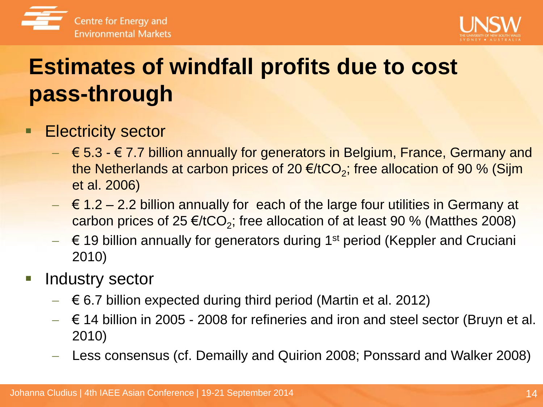



# **Estimates of windfall profits due to cost pass-through**

#### **Electricity sector**

- $\epsilon \in \{5.3, 6.7, 7\}$  billion annually for generators in Belgium, France, Germany and the Netherlands at carbon prices of 20 €/tCO<sub>2</sub>; free allocation of 90 % (Sijm et al. 2006)
- $\leq$  6 1.2 2.2 billion annually for each of the large four utilities in Germany at carbon prices of 25  $\epsilon$ /tCO<sub>2</sub>; free allocation of at least 90 % (Matthes 2008)
- $\mathbf{F} = \mathbf{F}$  19 billion annually for generators during 1<sup>st</sup> period (Keppler and Cruciani 2010)

#### Industry sector

- $\leq$  6.7 billion expected during third period (Martin et al. 2012)
- € 14 billion in 2005 2008 for refineries and iron and steel sector (Bruyn et al. 2010)
- Less consensus (cf. Demailly and Quirion 2008; Ponssard and Walker 2008)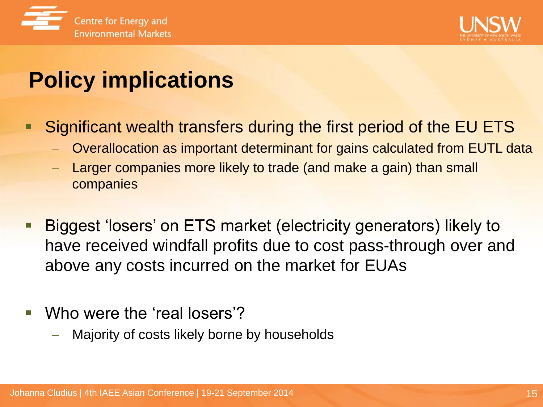



# **Policy implications**

- Significant wealth transfers during the first period of the EU ETS
	- Overallocation as important determinant for gains calculated from EUTL data
	- Larger companies more likely to trade (and make a gain) than small companies
- Biggest 'losers' on ETS market (electricity generators) likely to have received windfall profits due to cost pass-through over and above any costs incurred on the market for EUAs
- Who were the 'real losers'?
	- Majority of costs likely borne by households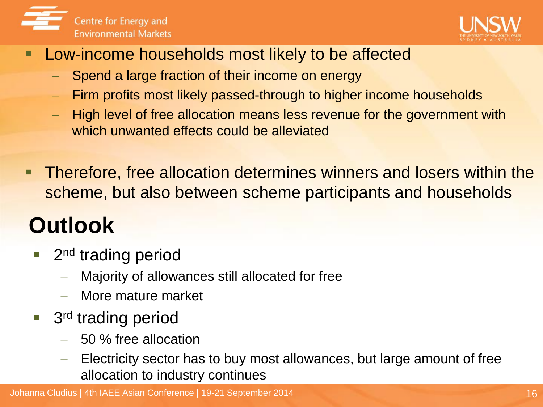



#### **Low-income households most likely to be affected**

- Spend a large fraction of their income on energy
- Firm profits most likely passed-through to higher income households
- High level of free allocation means less revenue for the government with which unwanted effects could be alleviated
- **Therefore, free allocation determines winners and losers within the** scheme, but also between scheme participants and households

# **Outlook**

- 2<sup>nd</sup> trading period
	- Majority of allowances still allocated for free
	- More mature market
- 3<sup>rd</sup> trading period
	- 50 % free allocation
	- Electricity sector has to buy most allowances, but large amount of free allocation to industry continues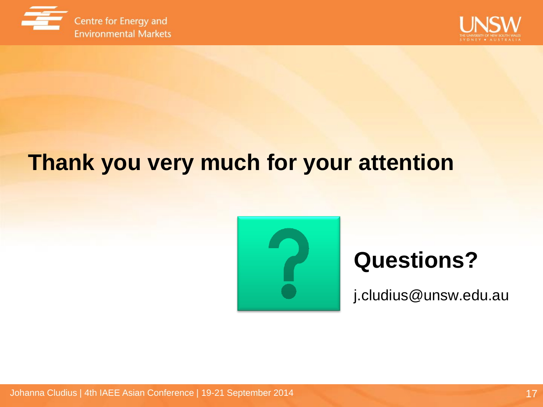



## **Thank you very much for your attention**



## **Questions?**

j.cludius@unsw.edu.au